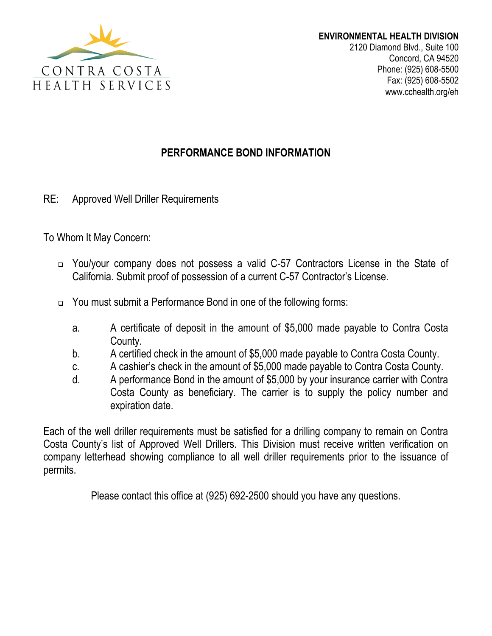

www.cchealth.org/eh

## **PERFORMANCE BOND INFORMATION**

RE: Approved Well Driller Requirements

To Whom It May Concern:

- You/your company does not possess a valid C-57 Contractors License in the State of California. Submit proof of possession of a current C-57 Contractor's License.
- You must submit a Performance Bond in one of the following forms:
	- a. A certificate of deposit in the amount of \$5,000 made payable to Contra Costa County.
	- b. A certified check in the amount of \$5,000 made payable to Contra Costa County.
	- c. A cashier's check in the amount of \$5,000 made payable to Contra Costa County.
	- d. A performance Bond in the amount of \$5,000 by your insurance carrier with Contra Costa County as beneficiary. The carrier is to supply the policy number and expiration date.

Each of the well driller requirements must be satisfied for a drilling company to remain on Contra Costa County's list of Approved Well Drillers. This Division must receive written verification on company letterhead showing compliance to all well driller requirements prior to the issuance of permits.

Please contact this office at (925) 692-2500 should you have any questions.